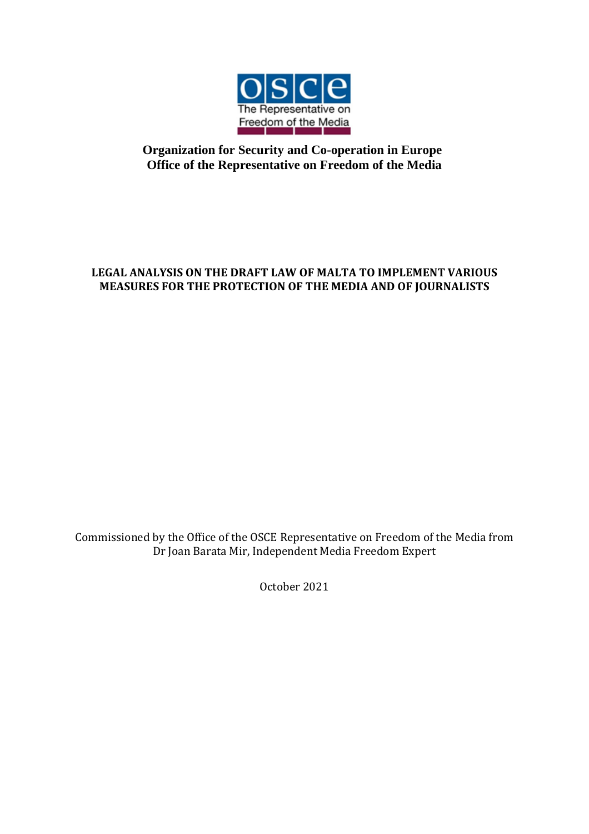

## **Organization for Security and Co-operation in Europe Office of the Representative on Freedom of the Media**

### **LEGAL ANALYSIS ON THE DRAFT LAW OF MALTA TO IMPLEMENT VARIOUS MEASURES FOR THE PROTECTION OF THE MEDIA AND OF JOURNALISTS**

Commissioned by the Office of the OSCE Representative on Freedom of the Media from Dr Joan Barata Mir, Independent Media Freedom Expert

October 2021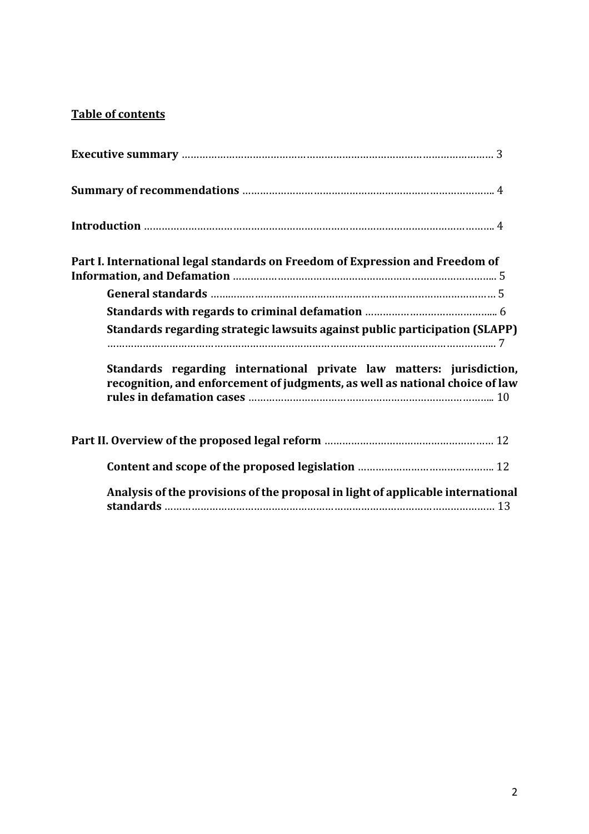# **Table of contents**

| Part I. International legal standards on Freedom of Expression and Freedom of                                                                        |
|------------------------------------------------------------------------------------------------------------------------------------------------------|
|                                                                                                                                                      |
|                                                                                                                                                      |
| Standards regarding strategic lawsuits against public participation (SLAPP)                                                                          |
| Standards regarding international private law matters: jurisdiction,<br>recognition, and enforcement of judgments, as well as national choice of law |
|                                                                                                                                                      |
|                                                                                                                                                      |
| Analysis of the provisions of the proposal in light of applicable international                                                                      |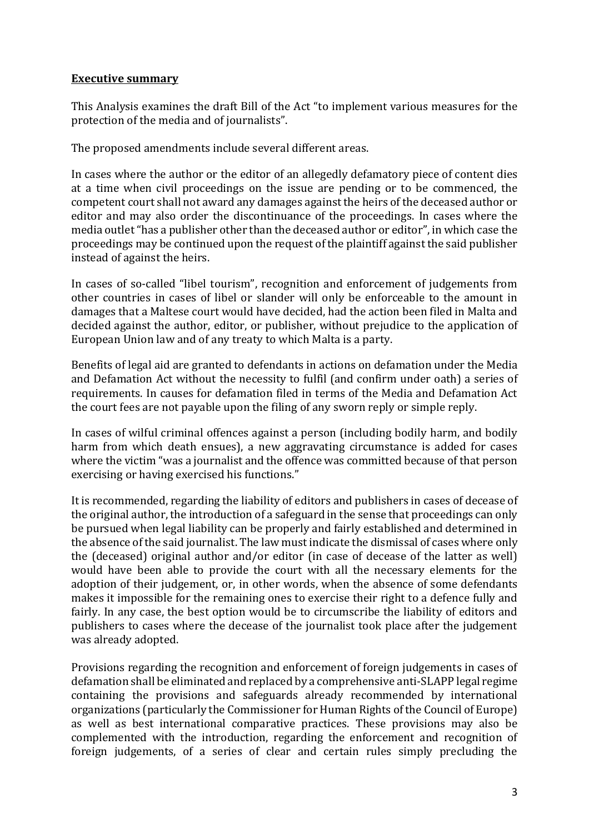### **Executive summary**

This Analysis examines the draft Bill of the Act "to implement various measures for the protection of the media and of journalists".

The proposed amendments include several different areas.

In cases where the author or the editor of an allegedly defamatory piece of content dies at a time when civil proceedings on the issue are pending or to be commenced, the competent court shall not award any damages against the heirs of the deceased author or editor and may also order the discontinuance of the proceedings. In cases where the media outlet "has a publisher other than the deceased author or editor", in which case the proceedings may be continued upon the request of the plaintiff against the said publisher instead of against the heirs.

In cases of so-called "libel tourism", recognition and enforcement of judgements from other countries in cases of libel or slander will only be enforceable to the amount in damages that a Maltese court would have decided, had the action been filed in Malta and decided against the author, editor, or publisher, without prejudice to the application of European Union law and of any treaty to which Malta is a party.

Benefits of legal aid are granted to defendants in actions on defamation under the Media and Defamation Act without the necessity to fulfil (and confirm under oath) a series of requirements. In causes for defamation filed in terms of the Media and Defamation Act the court fees are not payable upon the filing of any sworn reply or simple reply.

In cases of wilful criminal offences against a person (including bodily harm, and bodily harm from which death ensues), a new aggravating circumstance is added for cases where the victim "was a journalist and the offence was committed because of that person exercising or having exercised his functions."

It is recommended, regarding the liability of editors and publishers in cases of decease of the original author, the introduction of a safeguard in the sense that proceedings can only be pursued when legal liability can be properly and fairly established and determined in the absence of the said journalist. The law must indicate the dismissal of cases where only the (deceased) original author and/or editor (in case of decease of the latter as well) would have been able to provide the court with all the necessary elements for the adoption of their judgement, or, in other words, when the absence of some defendants makes it impossible for the remaining ones to exercise their right to a defence fully and fairly. In any case, the best option would be to circumscribe the liability of editors and publishers to cases where the decease of the journalist took place after the judgement was already adopted.

Provisions regarding the recognition and enforcement of foreign judgements in cases of defamation shall be eliminated and replaced by a comprehensive anti-SLAPP legal regime containing the provisions and safeguards already recommended by international organizations (particularly the Commissioner for Human Rights of the Council of Europe) as well as best international comparative practices. These provisions may also be complemented with the introduction, regarding the enforcement and recognition of foreign judgements, of a series of clear and certain rules simply precluding the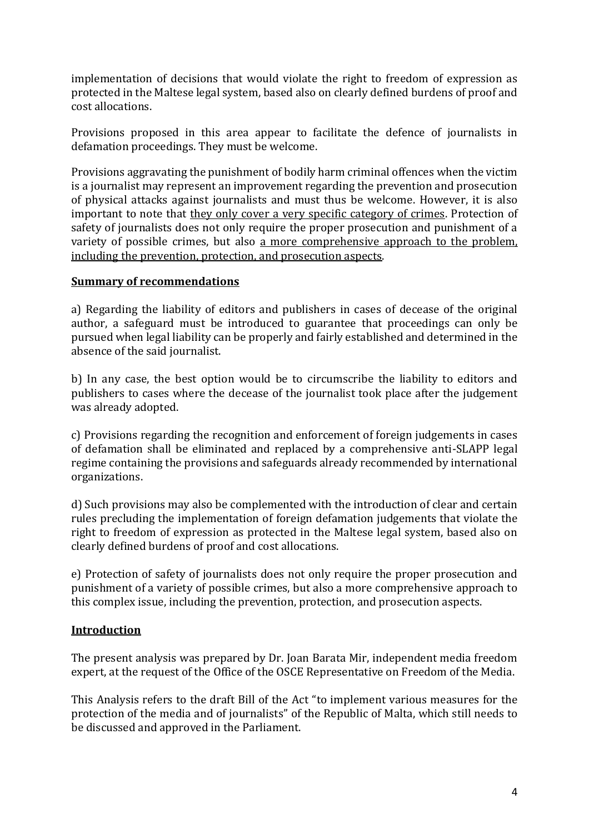implementation of decisions that would violate the right to freedom of expression as protected in the Maltese legal system, based also on clearly defined burdens of proof and cost allocations.

Provisions proposed in this area appear to facilitate the defence of journalists in defamation proceedings. They must be welcome.

Provisions aggravating the punishment of bodily harm criminal offences when the victim is a journalist may represent an improvement regarding the prevention and prosecution of physical attacks against journalists and must thus be welcome. However, it is also important to note that they only cover a very specific category of crimes. Protection of safety of journalists does not only require the proper prosecution and punishment of a variety of possible crimes, but also a more comprehensive approach to the problem. including the prevention, protection, and prosecution aspects.

#### **Summary of recommendations**

a) Regarding the liability of editors and publishers in cases of decease of the original author, a safeguard must be introduced to guarantee that proceedings can only be pursued when legal liability can be properly and fairly established and determined in the absence of the said journalist.

b) In any case, the best option would be to circumscribe the liability to editors and publishers to cases where the decease of the journalist took place after the judgement was already adopted.

c) Provisions regarding the recognition and enforcement of foreign judgements in cases of defamation shall be eliminated and replaced by a comprehensive anti-SLAPP legal regime containing the provisions and safeguards already recommended by international organizations.

d) Such provisions may also be complemented with the introduction of clear and certain rules precluding the implementation of foreign defamation judgements that violate the right to freedom of expression as protected in the Maltese legal system, based also on clearly defined burdens of proof and cost allocations.

e) Protection of safety of journalists does not only require the proper prosecution and punishment of a variety of possible crimes, but also a more comprehensive approach to this complex issue, including the prevention, protection, and prosecution aspects.

#### **Introduction**

The present analysis was prepared by Dr. Joan Barata Mir, independent media freedom expert, at the request of the Office of the OSCE Representative on Freedom of the Media.

This Analysis refers to the draft Bill of the Act "to implement various measures for the protection of the media and of journalists" of the Republic of Malta, which still needs to be discussed and approved in the Parliament.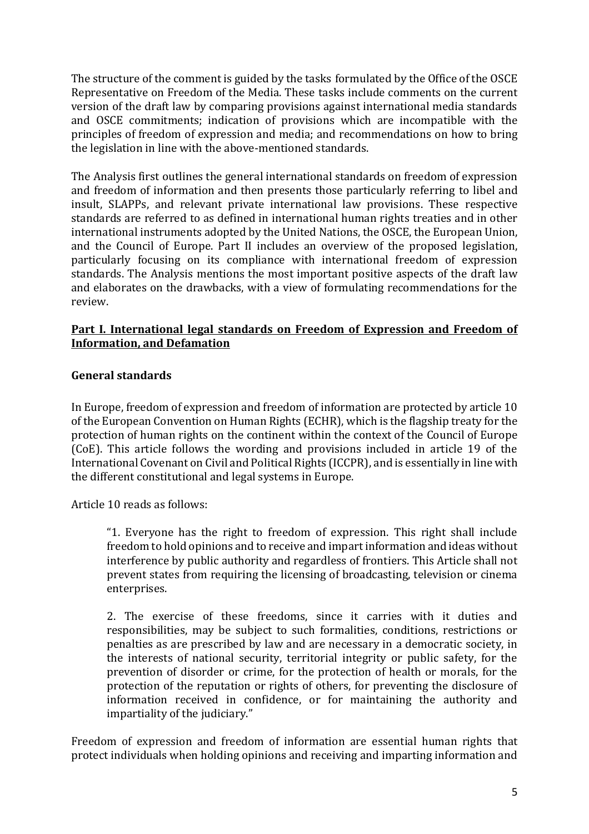The structure of the comment is guided by the tasks formulated by the Office of the OSCE Representative on Freedom of the Media. These tasks include comments on the current version of the draft law by comparing provisions against international media standards and OSCE commitments; indication of provisions which are incompatible with the principles of freedom of expression and media; and recommendations on how to bring the legislation in line with the above-mentioned standards.

The Analysis first outlines the general international standards on freedom of expression and freedom of information and then presents those particularly referring to libel and insult, SLAPPs, and relevant private international law provisions. These respective standards are referred to as defined in international human rights treaties and in other international instruments adopted by the United Nations, the OSCE, the European Union, and the Council of Europe. Part II includes an overview of the proposed legislation, particularly focusing on its compliance with international freedom of expression standards. The Analysis mentions the most important positive aspects of the draft law and elaborates on the drawbacks, with a view of formulating recommendations for the review.

### **Part I. International legal standards on Freedom of Expression and Freedom of Information, and Defamation**

### **General standards**

In Europe, freedom of expression and freedom of information are protected by article 10 of the European Convention on Human Rights (ECHR), which is the flagship treaty for the protection of human rights on the continent within the context of the Council of Europe (CoE). This article follows the wording and provisions included in article 19 of the International Covenant on Civil and Political Rights (ICCPR), and is essentially in line with the different constitutional and legal systems in Europe.

Article 10 reads as follows:

"1. Everyone has the right to freedom of expression. This right shall include freedom to hold opinions and to receive and impart information and ideas without interference by public authority and regardless of frontiers. This Article shall not prevent states from requiring the licensing of broadcasting, television or cinema enterprises.

2. The exercise of these freedoms, since it carries with it duties and responsibilities, may be subject to such formalities, conditions, restrictions or penalties as are prescribed by law and are necessary in a democratic society, in the interests of national security, territorial integrity or public safety, for the prevention of disorder or crime, for the protection of health or morals, for the protection of the reputation or rights of others, for preventing the disclosure of information received in confidence, or for maintaining the authority and impartiality of the judiciary."

Freedom of expression and freedom of information are essential human rights that protect individuals when holding opinions and receiving and imparting information and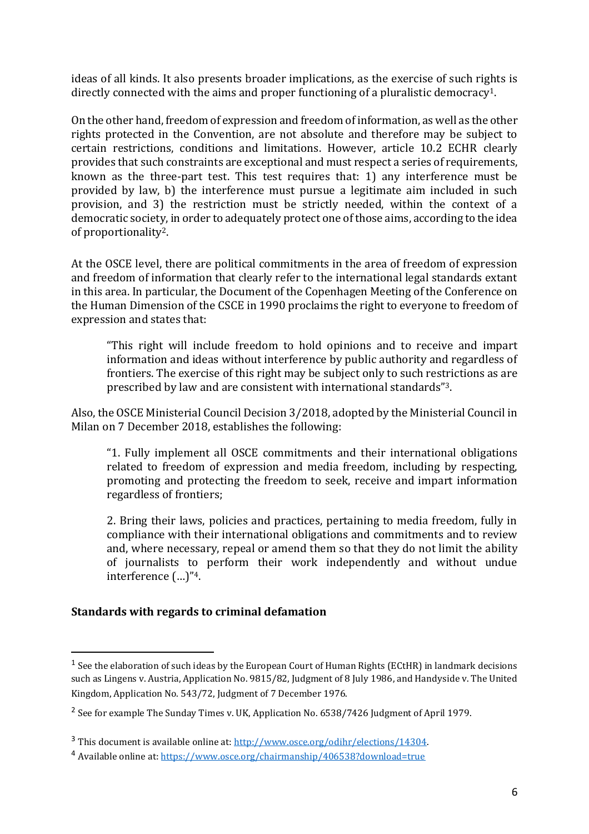ideas of all kinds. It also presents broader implications, as the exercise of such rights is directly connected with the aims and proper functioning of a pluralistic democracy1.

On the other hand, freedom of expression and freedom of information, as well as the other rights protected in the Convention, are not absolute and therefore may be subject to certain restrictions, conditions and limitations. However, article 10.2 ECHR clearly provides that such constraints are exceptional and must respect a series of requirements, known as the three-part test. This test requires that: 1) any interference must be provided by law, b) the interference must pursue a legitimate aim included in such provision, and 3) the restriction must be strictly needed, within the context of a democratic society, in order to adequately protect one of those aims, according to the idea of proportionality2.

At the OSCE level, there are political commitments in the area of freedom of expression and freedom of information that clearly refer to the international legal standards extant in this area. In particular, the Document of the Copenhagen Meeting of the Conference on the Human Dimension of the CSCE in 1990 proclaims the right to everyone to freedom of expression and states that:

"This right will include freedom to hold opinions and to receive and impart information and ideas without interference by public authority and regardless of frontiers. The exercise of this right may be subject only to such restrictions as are prescribed by law and are consistent with international standards"3.

Also, the OSCE Ministerial Council Decision 3/2018, adopted by the Ministerial Council in Milan on 7 December 2018, establishes the following:

"1. Fully implement all OSCE commitments and their international obligations related to freedom of expression and media freedom, including by respecting, promoting and protecting the freedom to seek, receive and impart information regardless of frontiers;

2. Bring their laws, policies and practices, pertaining to media freedom, fully in compliance with their international obligations and commitments and to review and, where necessary, repeal or amend them so that they do not limit the ability of journalists to perform their work independently and without undue interference (…)"4.

#### **Standards with regards to criminal defamation**

l

 $^1$  See the elaboration of such ideas by the European Court of Human Rights (ECtHR) in landmark decisions such as Lingens v. Austria, Application No. 9815/82, Judgment of 8 July 1986, and Handyside v. The United Kingdom, Application No. 543/72, Judgment of 7 December 1976.

<sup>&</sup>lt;sup>2</sup> See for example The Sunday Times v. UK, Application No. 6538/7426 Judgment of April 1979.

<sup>3</sup> This document is available online at[: http://www.osce.org/odihr/elections/14304.](http://www.osce.org/odihr/elections/14304) 

<sup>4</sup> Available online at[: https://www.osce.org/chairmanship/406538?download=true](https://www.osce.org/chairmanship/406538?download=true)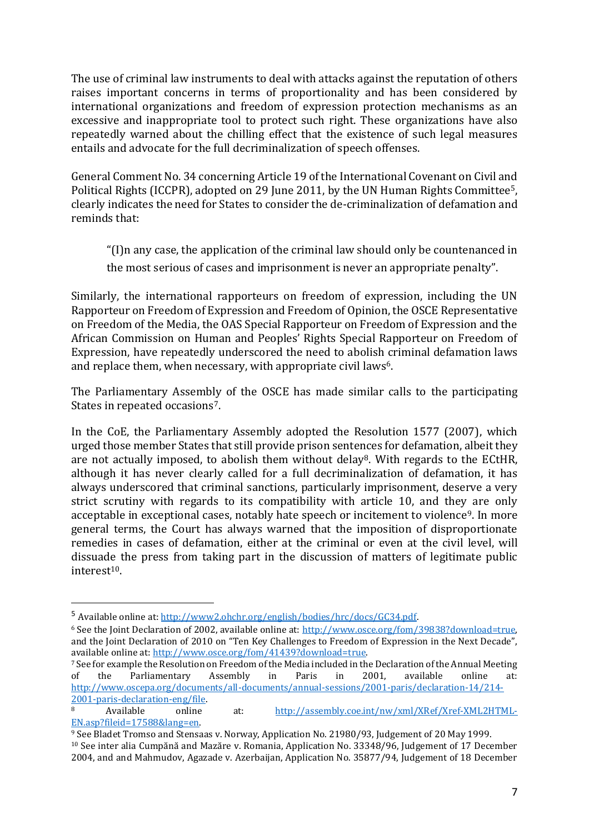The use of criminal law instruments to deal with attacks against the reputation of others raises important concerns in terms of proportionality and has been considered by international organizations and freedom of expression protection mechanisms as an excessive and inappropriate tool to protect such right. These organizations have also repeatedly warned about the chilling effect that the existence of such legal measures entails and advocate for the full decriminalization of speech offenses.

General Comment No. 34 concerning Article 19 of the International Covenant on Civil and Political Rights (ICCPR), adopted on 29 June 2011, by the UN Human Rights Committee<sup>5</sup>, clearly indicates the need for States to consider the de-criminalization of defamation and reminds that:

"(I)n any case, the application of the criminal law should only be countenanced in the most serious of cases and imprisonment is never an appropriate penalty".

Similarly, the international rapporteurs on freedom of expression, including the UN Rapporteur on Freedom of Expression and Freedom of Opinion, the OSCE Representative on Freedom of the Media, the OAS Special Rapporteur on Freedom of Expression and the African Commission on Human and Peoples' Rights Special Rapporteur on Freedom of Expression, have repeatedly underscored the need to abolish criminal defamation laws and replace them, when necessary, with appropriate civil laws<sup>6</sup>.

The Parliamentary Assembly of the OSCE has made similar calls to the participating States in repeated occasions7.

In the CoE, the Parliamentary Assembly adopted the Resolution 1577 (2007), which urged those member States that still provide prison sentences for defamation, albeit they are not actually imposed, to abolish them without delay8. With regards to the ECtHR, although it has never clearly called for a full decriminalization of defamation, it has always underscored that criminal sanctions, particularly imprisonment, deserve a very strict scrutiny with regards to its compatibility with article 10, and they are only acceptable in exceptional cases, notably hate speech or incitement to violence9. In more general terms, the Court has always warned that the imposition of disproportionate remedies in cases of defamation, either at the criminal or even at the civil level, will dissuade the press from taking part in the discussion of matters of legitimate public  $interest<sup>10</sup>$ .

 $\overline{a}$ 

<sup>5</sup> Available online at[: http://www2.ohchr.org/english/bodies/hrc/docs/GC34.pdf.](http://www2.ohchr.org/english/bodies/hrc/docs/GC34.pdf) 

<sup>&</sup>lt;sup>6</sup> See the Joint Declaration of 2002, available online at: [http://www.osce.org/fom/39838?download=true,](http://www.osce.org/fom/39838?download=true) and the Joint Declaration of 2010 on "Ten Key Challenges to Freedom of Expression in the Next Decade", available online at[: http://www.osce.org/fom/41439?download=true.](http://www.osce.org/fom/41439?download=true) 

<sup>7</sup> See for example the Resolution on Freedom of the Media included in the Declaration of the Annual Meeting of the Parliamentary Assembly in Paris in 2001, available online at: [http://www.oscepa.org/documents/all-documents/annual-sessions/2001-paris/declaration-14/214-](http://www.oscepa.org/documents/all-documents/annual-sessions/2001-paris/declaration-14/214-2001-paris-declaration-eng/file) [2001-paris-declaration-eng/file.](http://www.oscepa.org/documents/all-documents/annual-sessions/2001-paris/declaration-14/214-2001-paris-declaration-eng/file) 

<sup>8</sup> Available online at: [http://assembly.coe.int/nw/xml/XRef/Xref-XML2HTML-](http://assembly.coe.int/nw/xml/XRef/Xref-XML2HTML-EN.asp?fileid=17588&lang=en)[EN.asp?fileid=17588&lang=en.](http://assembly.coe.int/nw/xml/XRef/Xref-XML2HTML-EN.asp?fileid=17588&lang=en) 

<sup>9</sup> See Bladet Tromso and Stensaas v. Norway, Application No. 21980/93, Judgement of 20 May 1999. <sup>10</sup> See inter alia Cumpănă and Mazăre v. Romania, Application No. 33348/96, Judgement of 17 December 2004, and and Mahmudov, Agazade v. Azerbaijan, Application No. 35877/94, Judgement of 18 December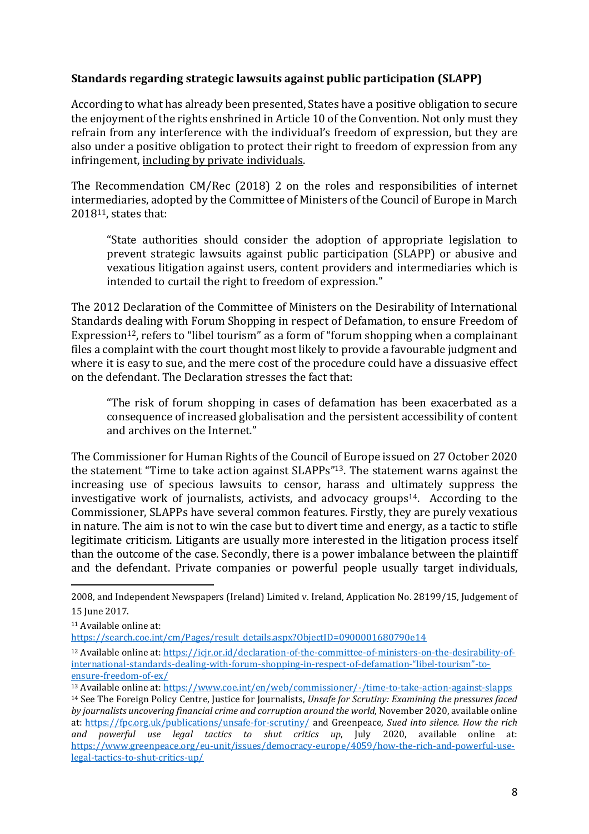### **Standards regarding strategic lawsuits against public participation (SLAPP)**

According to what has already been presented, States have a positive obligation to secure the enjoyment of the rights enshrined in Article 10 of the Convention. Not only must they refrain from any interference with the individual's freedom of expression, but they are also under a positive obligation to protect their right to freedom of expression from any infringement, including by private individuals.

The Recommendation CM/Rec (2018) 2 on the roles and responsibilities of internet intermediaries, adopted by the Committee of Ministers of the Council of Europe in March 201811, states that:

"State authorities should consider the adoption of appropriate legislation to prevent strategic lawsuits against public participation (SLAPP) or abusive and vexatious litigation against users, content providers and intermediaries which is intended to curtail the right to freedom of expression."

The 2012 Declaration of the Committee of Ministers on the Desirability of International Standards dealing with Forum Shopping in respect of Defamation, to ensure Freedom of Expression<sup>12</sup>, refers to "libel tourism" as a form of "forum shopping when a complainant files a complaint with the court thought most likely to provide a favourable judgment and where it is easy to sue, and the mere cost of the procedure could have a dissuasive effect on the defendant. The Declaration stresses the fact that:

"The risk of forum shopping in cases of defamation has been exacerbated as a consequence of increased globalisation and the persistent accessibility of content and archives on the Internet."

The Commissioner for Human Rights of the Council of Europe issued on 27 October 2020 the statement "Time to take action against SLAPPs" <sup>13</sup>. The statement warns against the increasing use of specious lawsuits to censor, harass and ultimately suppress the investigative work of journalists, activists, and advocacy groups<sup>14</sup>. According to the Commissioner, SLAPPs have several common features. Firstly, they are purely vexatious in nature. The aim is not to win the case but to divert time and energy, as a tactic to stifle legitimate criticism. Litigants are usually more interested in the litigation process itself than the outcome of the case. Secondly, there is a power imbalance between the plaintiff and the defendant. Private companies or powerful people usually target individuals,

 $\overline{a}$ 2008, and Independent Newspapers (Ireland) Limited v. Ireland, Application No. 28199/15, Judgement of 15 June 2017.

<sup>11</sup> Available online at:

[https://search.coe.int/cm/Pages/result\\_details.aspx?ObjectID=0900001680790e14](https://search.coe.int/cm/Pages/result_details.aspx?ObjectID=0900001680790e14)

<sup>12</sup> Available online at[: https://icjr.or.id/declaration-of-the-committee-of-ministers-on-the-desirability-of](https://icjr.or.id/declaration-of-the-committee-of-ministers-on-the-desirability-of-international-standards-dealing-with-forum-shopping-in-respect-of-defamation-)[international-standards-dealing-with-forum-shopping-in-respect-of-defamation-](https://icjr.or.id/declaration-of-the-committee-of-ministers-on-the-desirability-of-international-standards-dealing-with-forum-shopping-in-respect-of-defamation-)"libel-tourism"-to[ensure-freedom-of-ex/](https://icjr.or.id/declaration-of-the-committee-of-ministers-on-the-desirability-of-international-standards-dealing-with-forum-shopping-in-respect-of-defamation-)

<sup>13</sup> Available online at[: https://www.coe.int/en/web/commissioner/-/time-to-take-action-against-slapps](https://www.coe.int/en/web/commissioner/-/time-to-take-action-against-slapps) <sup>14</sup> See The Foreign Policy Centre, Justice for Journalists, *Unsafe for Scrutiny: Examining the pressures faced by journalists uncovering financial crime and corruption around the world*, November 2020, available online at:<https://fpc.org.uk/publications/unsafe-for-scrutiny/> and Greenpeace, *Sued into silence. How the rich and powerful use legal tactics to shut critics up*, July 2020, available online at: [https://www.greenpeace.org/eu-unit/issues/democracy-europe/4059/how-the-rich-and-powerful-use](https://www.greenpeace.org/eu-unit/issues/democracy-europe/4059/how-the-rich-and-powerful-use-legal-tactics-to-shut-critics-up/)[legal-tactics-to-shut-critics-up/](https://www.greenpeace.org/eu-unit/issues/democracy-europe/4059/how-the-rich-and-powerful-use-legal-tactics-to-shut-critics-up/)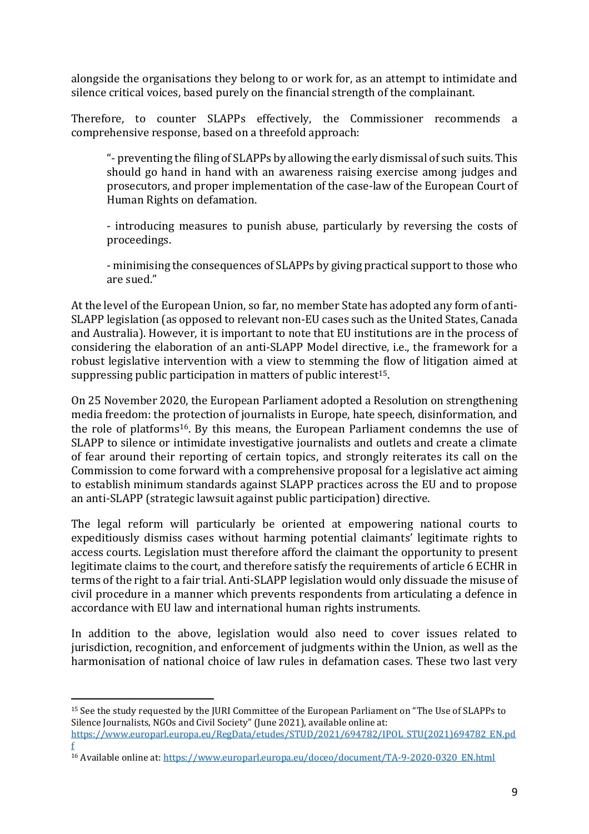alongside the organisations they belong to or work for, as an attempt to intimidate and silence critical voices, based purely on the financial strength of the complainant.

Therefore, to counter SLAPPs effectively, the Commissioner recommends a comprehensive response, based on a threefold approach:

"- preventing the filing of SLAPPs by allowing the early dismissal of such suits. This should go hand in hand with an awareness raising exercise among judges and prosecutors, and proper implementation of the case-law of the European Court of Human Rights on defamation.

- introducing measures to punish abuse, particularly by reversing the costs of proceedings.

- minimising the consequences of SLAPPs by giving practical support to those who are sued."

At the level of the European Union, so far, no member State has adopted any form of anti-SLAPP legislation (as opposed to relevant non-EU cases such as the United States, Canada and Australia). However, it is important to note that EU institutions are in the process of considering the elaboration of an anti-SLAPP Model directive, i.e., the framework for a robust legislative intervention with a view to stemming the flow of litigation aimed at suppressing public participation in matters of public interest 15.

On 25 November 2020, the European Parliament adopted a Resolution on strengthening media freedom: the protection of journalists in Europe, hate speech, disinformation, and the role of platforms16. By this means, the European Parliament condemns the use of SLAPP to silence or intimidate investigative journalists and outlets and create a climate of fear around their reporting of certain topics, and strongly reiterates its call on the Commission to come forward with a comprehensive proposal for a legislative act aiming to establish minimum standards against SLAPP practices across the EU and to propose an anti-SLAPP (strategic lawsuit against public participation) directive.

The legal reform will particularly be oriented at empowering national courts to expeditiously dismiss cases without harming potential claimants' legitimate rights to access courts. Legislation must therefore afford the claimant the opportunity to present legitimate claims to the court, and therefore satisfy the requirements of article 6 ECHR in terms of the right to a fair trial. Anti-SLAPP legislation would only dissuade the misuse of civil procedure in a manner which prevents respondents from articulating a defence in accordance with EU law and international human rights instruments.

In addition to the above, legislation would also need to cover issues related to jurisdiction, recognition, and enforcement of judgments within the Union, as well as the harmonisation of national choice of law rules in defamation cases. These two last very

 $\overline{a}$ 

[f](https://www.europarl.europa.eu/RegData/etudes/STUD/2021/694782/IPOL_STU(2021)694782_EN.pdf)

<sup>15</sup> See the study requested by the JURI Committee of the European Parliament on "The Use of SLAPPs to Silence Journalists, NGOs and Civil Society" (June 2021), available online at: [https://www.europarl.europa.eu/RegData/etudes/STUD/2021/694782/IPOL\\_STU\(2021\)694782\\_EN.pd](https://www.europarl.europa.eu/RegData/etudes/STUD/2021/694782/IPOL_STU(2021)694782_EN.pdf)

<sup>16</sup> Available online at[: https://www.europarl.europa.eu/doceo/document/TA-9-2020-0320\\_EN.html](https://www.europarl.europa.eu/doceo/document/TA-9-2020-0320_EN.html)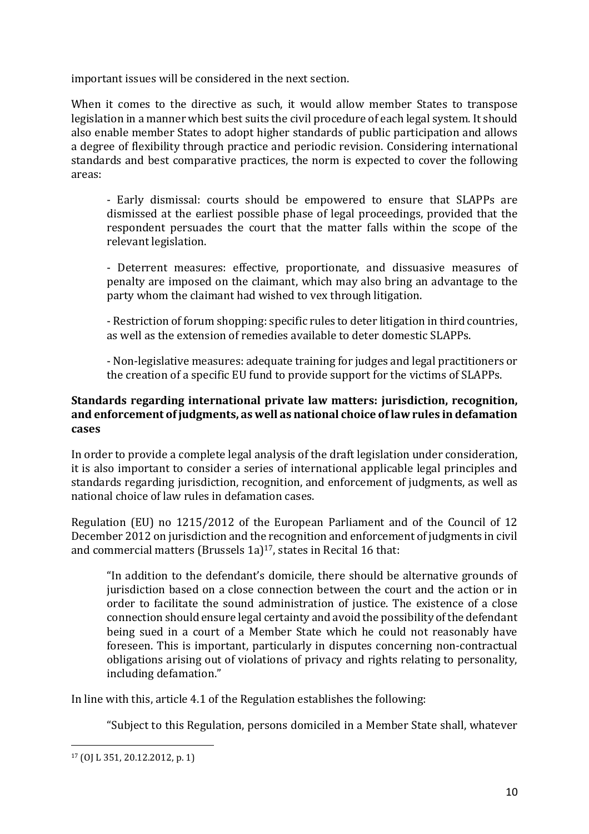important issues will be considered in the next section.

When it comes to the directive as such, it would allow member States to transpose legislation in a manner which best suits the civil procedure of each legal system. It should also enable member States to adopt higher standards of public participation and allows a degree of flexibility through practice and periodic revision. Considering international standards and best comparative practices, the norm is expected to cover the following areas:

- Early dismissal: courts should be empowered to ensure that SLAPPs are dismissed at the earliest possible phase of legal proceedings, provided that the respondent persuades the court that the matter falls within the scope of the relevant legislation.

- Deterrent measures: effective, proportionate, and dissuasive measures of penalty are imposed on the claimant, which may also bring an advantage to the party whom the claimant had wished to vex through litigation.

- Restriction of forum shopping: specific rules to deter litigation in third countries, as well as the extension of remedies available to deter domestic SLAPPs.

- Non-legislative measures: adequate training for judges and legal practitioners or the creation of a specific EU fund to provide support for the victims of SLAPPs.

### **Standards regarding international private law matters: jurisdiction, recognition, and enforcement of judgments, as well as national choice of law rules in defamation cases**

In order to provide a complete legal analysis of the draft legislation under consideration, it is also important to consider a series of international applicable legal principles and standards regarding jurisdiction, recognition, and enforcement of judgments, as well as national choice of law rules in defamation cases.

Regulation (EU) no 1215/2012 of the European Parliament and of the Council of 12 December 2012 on jurisdiction and the recognition and enforcement of judgments in civil and commercial matters (Brussels  $1a$ )<sup>17</sup>, states in Recital 16 that:

"In addition to the defendant's domicile, there should be alternative grounds of jurisdiction based on a close connection between the court and the action or in order to facilitate the sound administration of justice. The existence of a close connection should ensure legal certainty and avoid the possibility of the defendant being sued in a court of a Member State which he could not reasonably have foreseen. This is important, particularly in disputes concerning non-contractual obligations arising out of violations of privacy and rights relating to personality, including defamation."

In line with this, article 4.1 of the Regulation establishes the following:

"Subject to this Regulation, persons domiciled in a Member State shall, whatever

 $\overline{a}$ <sup>17</sup> (OJ L 351, 20.12.2012, p. 1)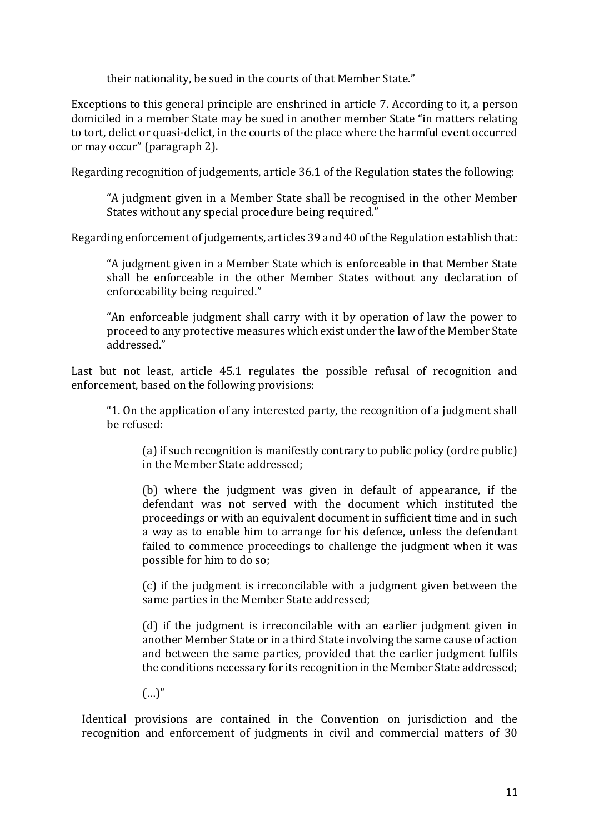their nationality, be sued in the courts of that Member State."

Exceptions to this general principle are enshrined in article 7. According to it, a person domiciled in a member State may be sued in another member State "in matters relating to tort, delict or quasi-delict, in the courts of the place where the harmful event occurred or may occur" (paragraph 2).

Regarding recognition of judgements, article 36.1 of the Regulation states the following:

"A judgment given in a Member State shall be recognised in the other Member States without any special procedure being required."

Regarding enforcement of judgements, articles 39 and 40 of the Regulation establish that:

"A judgment given in a Member State which is enforceable in that Member State shall be enforceable in the other Member States without any declaration of enforceability being required."

"An enforceable judgment shall carry with it by operation of law the power to proceed to any protective measures which exist under the law of the Member State addressed."

Last but not least, article 45.1 regulates the possible refusal of recognition and enforcement, based on the following provisions:

"1. On the application of any interested party, the recognition of a judgment shall be refused:

(a) if such recognition is manifestly contrary to public policy (ordre public) in the Member State addressed;

(b) where the judgment was given in default of appearance, if the defendant was not served with the document which instituted the proceedings or with an equivalent document in sufficient time and in such a way as to enable him to arrange for his defence, unless the defendant failed to commence proceedings to challenge the judgment when it was possible for him to do so;

(c) if the judgment is irreconcilable with a judgment given between the same parties in the Member State addressed;

(d) if the judgment is irreconcilable with an earlier judgment given in another Member State or in a third State involving the same cause of action and between the same parties, provided that the earlier judgment fulfils the conditions necessary for its recognition in the Member State addressed;

 $(...)$ "

Identical provisions are contained in the Convention on jurisdiction and the recognition and enforcement of judgments in civil and commercial matters of 30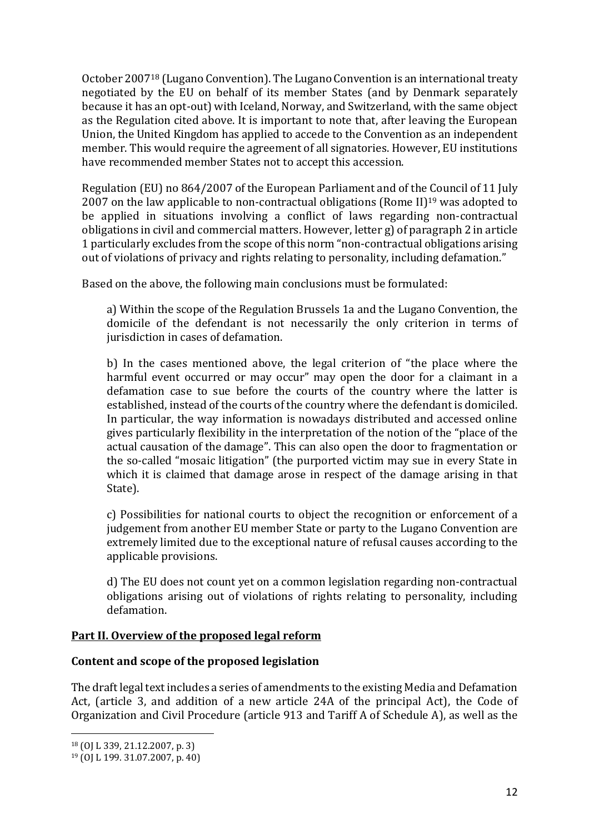October 2007<sup>18</sup> (Lugano Convention). The Lugano Convention is an international treaty negotiated by the EU on behalf of its member States (and by Denmark separately because it has an opt-out) with Iceland, Norway, and Switzerland, with the same object as the Regulation cited above. It is important to note that, after leaving the European Union, the United Kingdom has applied to accede to the Convention as an independent member. This would require the agreement of all signatories. However, EU institutions have recommended member States not to accept this accession.

Regulation (EU) no 864/2007 of the European Parliament and of the Council of 11 July 2007 on the law applicable to non-contractual obligations (Rome II)<sup>19</sup> was adopted to be applied in situations involving a conflict of laws regarding non-contractual obligations in civil and commercial matters. However, letter g) of paragraph 2 in article 1 particularly excludes from the scope of this norm "non-contractual obligations arising out of violations of privacy and rights relating to personality, including defamation."

Based on the above, the following main conclusions must be formulated:

a) Within the scope of the Regulation Brussels 1a and the Lugano Convention, the domicile of the defendant is not necessarily the only criterion in terms of jurisdiction in cases of defamation.

b) In the cases mentioned above, the legal criterion of "the place where the harmful event occurred or may occur" may open the door for a claimant in a defamation case to sue before the courts of the country where the latter is established, instead of the courts of the country where the defendant is domiciled. In particular, the way information is nowadays distributed and accessed online gives particularly flexibility in the interpretation of the notion of the "place of the actual causation of the damage". This can also open the door to fragmentation or the so-called "mosaic litigation" (the purported victim may sue in every State in which it is claimed that damage arose in respect of the damage arising in that State).

c) Possibilities for national courts to object the recognition or enforcement of a judgement from another EU member State or party to the Lugano Convention are extremely limited due to the exceptional nature of refusal causes according to the applicable provisions.

d) The EU does not count yet on a common legislation regarding non-contractual obligations arising out of violations of rights relating to personality, including defamation.

### **Part II. Overview of the proposed legal reform**

#### **Content and scope of the proposed legislation**

The draft legal text includes a series of amendments to the existing Media and Defamation Act, (article 3, and addition of a new article 24A of the principal Act), the Code of Organization and Civil Procedure (article 913 and Tariff A of Schedule A), as well as the

l

<sup>18</sup> (OJ L 339, 21.12.2007, p. 3)

<sup>19</sup> (OJ L 199. 31.07.2007, p. 40)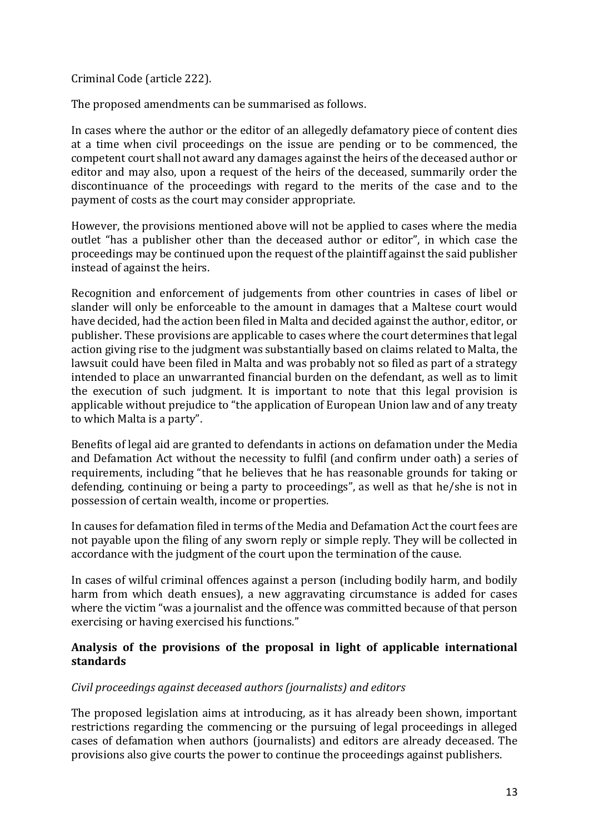Criminal Code (article 222).

The proposed amendments can be summarised as follows.

In cases where the author or the editor of an allegedly defamatory piece of content dies at a time when civil proceedings on the issue are pending or to be commenced, the competent court shall not award any damages against the heirs of the deceased author or editor and may also, upon a request of the heirs of the deceased, summarily order the discontinuance of the proceedings with regard to the merits of the case and to the payment of costs as the court may consider appropriate.

However, the provisions mentioned above will not be applied to cases where the media outlet "has a publisher other than the deceased author or editor", in which case the proceedings may be continued upon the request of the plaintiff against the said publisher instead of against the heirs.

Recognition and enforcement of judgements from other countries in cases of libel or slander will only be enforceable to the amount in damages that a Maltese court would have decided, had the action been filed in Malta and decided against the author, editor, or publisher. These provisions are applicable to cases where the court determines that legal action giving rise to the judgment was substantially based on claims related to Malta, the lawsuit could have been filed in Malta and was probably not so filed as part of a strategy intended to place an unwarranted financial burden on the defendant, as well as to limit the execution of such judgment. It is important to note that this legal provision is applicable without prejudice to "the application of European Union law and of any treaty to which Malta is a party".

Benefits of legal aid are granted to defendants in actions on defamation under the Media and Defamation Act without the necessity to fulfil (and confirm under oath) a series of requirements, including "that he believes that he has reasonable grounds for taking or defending, continuing or being a party to proceedings", as well as that he/she is not in possession of certain wealth, income or properties.

In causes for defamation filed in terms of the Media and Defamation Act the court fees are not payable upon the filing of any sworn reply or simple reply. They will be collected in accordance with the judgment of the court upon the termination of the cause.

In cases of wilful criminal offences against a person (including bodily harm, and bodily harm from which death ensues), a new aggravating circumstance is added for cases where the victim "was a journalist and the offence was committed because of that person exercising or having exercised his functions."

### **Analysis of the provisions of the proposal in light of applicable international standards**

### *Civil proceedings against deceased authors (journalists) and editors*

The proposed legislation aims at introducing, as it has already been shown, important restrictions regarding the commencing or the pursuing of legal proceedings in alleged cases of defamation when authors (journalists) and editors are already deceased. The provisions also give courts the power to continue the proceedings against publishers.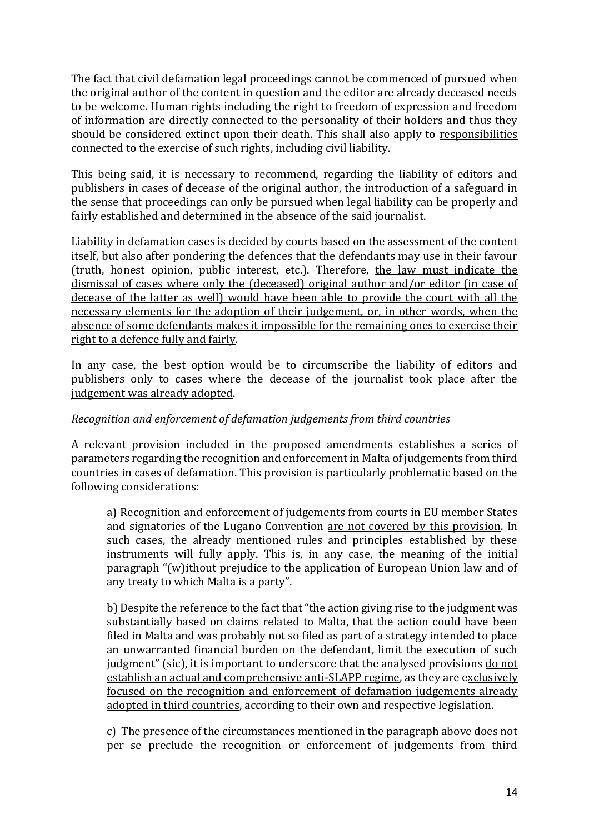The fact that civil defamation legal proceedings cannot be commenced of pursued when the original author of the content in question and the editor are already deceased needs to be welcome. Human rights including the right to freedom of expression and freedom of information are directly connected to the personality of their holders and thus they should be considered extinct upon their death. This shall also apply to responsibilities connected to the exercise of such rights, including civil liability.

This being said, it is necessary to recommend, regarding the liability of editors and publishers in cases of decease of the original author, the introduction of a safeguard in the sense that proceedings can only be pursued when legal liability can be properly and fairly established and determined in the absence of the said journalist.

Liability in defamation cases is decided by courts based on the assessment of the content itself, but also after pondering the defences that the defendants may use in their favour (truth, honest opinion, public interest, etc.). Therefore, the law must indicate the dismissal of cases where only the (deceased) original author and/or editor (in case of decease of the latter as well) would have been able to provide the court with all the necessary elements for the adoption of their judgement, or, in other words, when the absence of some defendants makes it impossible for the remaining ones to exercise their right to a defence fully and fairly.

In any case, the best option would be to circumscribe the liability of editors and publishers only to cases where the decease of the journalist took place after the judgement was already adopted.

### *Recognition and enforcement of defamation judgements from third countries*

A relevant provision included in the proposed amendments establishes a series of parameters regarding the recognition and enforcement in Malta of judgements from third countries in cases of defamation. This provision is particularly problematic based on the following considerations:

a) Recognition and enforcement of judgements from courts in EU member States and signatories of the Lugano Convention are not covered by this provision. In such cases, the already mentioned rules and principles established by these instruments will fully apply. This is, in any case, the meaning of the initial paragraph "(w)ithout prejudice to the application of European Union law and of any treaty to which Malta is a party".

b) Despite the reference to the fact that "the action giving rise to the judgment was substantially based on claims related to Malta, that the action could have been filed in Malta and was probably not so filed as part of a strategy intended to place an unwarranted financial burden on the defendant, limit the execution of such judgment" (sic), it is important to underscore that the analysed provisions do not establish an actual and comprehensive anti-SLAPP regime, as they are exclusively focused on the recognition and enforcement of defamation judgements already adopted in third countries, according to their own and respective legislation.

c) The presence of the circumstances mentioned in the paragraph above does not per se preclude the recognition or enforcement of judgements from third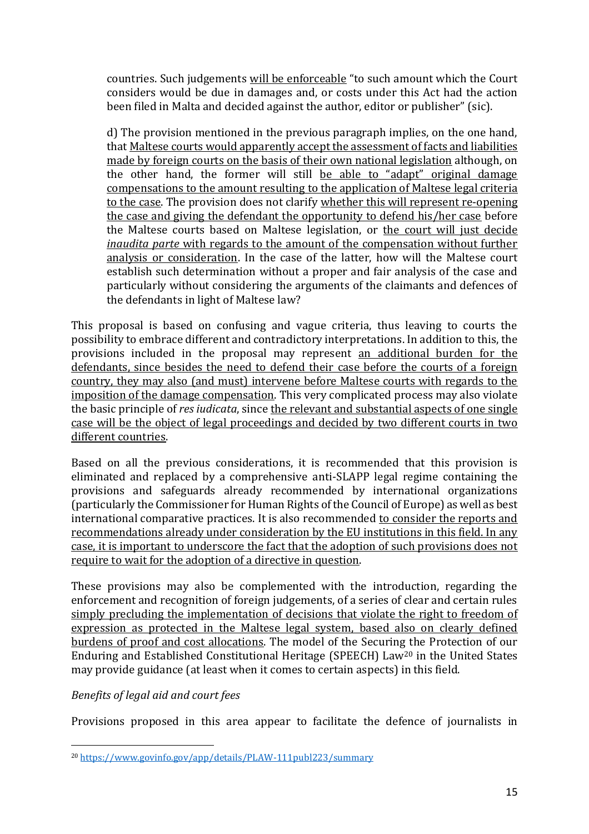countries. Such judgements will be enforceable "to such amount which the Court considers would be due in damages and, or costs under this Act had the action been filed in Malta and decided against the author, editor or publisher" (sic).

d) The provision mentioned in the previous paragraph implies, on the one hand, that Maltese courts would apparently accept the assessment of facts and liabilities made by foreign courts on the basis of their own national legislation although, on the other hand, the former will still be able to "adapt" original damage compensations to the amount resulting to the application of Maltese legal criteria to the case. The provision does not clarify whether this will represent re-opening the case and giving the defendant the opportunity to defend his/her case before the Maltese courts based on Maltese legislation, or the court will just decide *inaudita parte* with regards to the amount of the compensation without further analysis or consideration. In the case of the latter, how will the Maltese court establish such determination without a proper and fair analysis of the case and particularly without considering the arguments of the claimants and defences of the defendants in light of Maltese law?

This proposal is based on confusing and vague criteria, thus leaving to courts the possibility to embrace different and contradictory interpretations. In addition to this, the provisions included in the proposal may represent an additional burden for the defendants, since besides the need to defend their case before the courts of a foreign country, they may also (and must) intervene before Maltese courts with regards to the imposition of the damage compensation. This very complicated process may also violate the basic principle of *res iudicata*, since the relevant and substantial aspects of one single case will be the object of legal proceedings and decided by two different courts in two different countries.

Based on all the previous considerations, it is recommended that this provision is eliminated and replaced by a comprehensive anti-SLAPP legal regime containing the provisions and safeguards already recommended by international organizations (particularly the Commissioner for Human Rights of the Council of Europe) as well as best international comparative practices. It is also recommended to consider the reports and recommendations already under consideration by the EU institutions in this field. In any case, it is important to underscore the fact that the adoption of such provisions does not require to wait for the adoption of a directive in question.

These provisions may also be complemented with the introduction, regarding the enforcement and recognition of foreign judgements, of a series of clear and certain rules simply precluding the implementation of decisions that violate the right to freedom of expression as protected in the Maltese legal system, based also on clearly defined burdens of proof and cost allocations. The model of the Securing the Protection of our Enduring and Established Constitutional Heritage (SPEECH) Law<sup>20</sup> in the United States may provide guidance (at least when it comes to certain aspects) in this field.

#### *Benefits of legal aid and court fees*

Provisions proposed in this area appear to facilitate the defence of journalists in

 $\overline{a}$ <sup>20</sup> <https://www.govinfo.gov/app/details/PLAW-111publ223/summary>